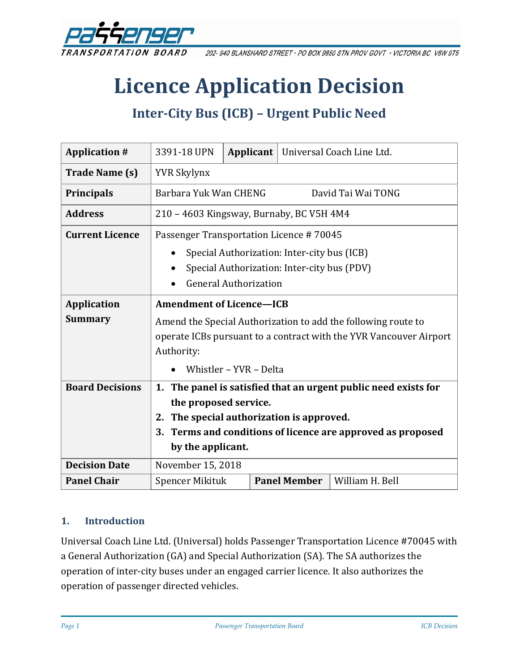

202-940 BLANSHARD STREET · PO BOX 9850 STN PROV GOVT · VICTORIA BC V8W 9T5

# **Licence Application Decision**

## **Inter-City Bus (ICB) – Urgent Public Need**

| <b>Application #</b>                 | 3391-18 UPN                                                                                                                                                                                                                        | Applicant $ $ |  |                     | Universal Coach Line Ltd. |
|--------------------------------------|------------------------------------------------------------------------------------------------------------------------------------------------------------------------------------------------------------------------------------|---------------|--|---------------------|---------------------------|
| <b>Trade Name (s)</b>                | <b>YVR Skylynx</b>                                                                                                                                                                                                                 |               |  |                     |                           |
| <b>Principals</b>                    | Barbara Yuk Wan CHENG<br>David Tai Wai TONG                                                                                                                                                                                        |               |  |                     |                           |
| <b>Address</b>                       | 210 – 4603 Kingsway, Burnaby, BC V5H 4M4                                                                                                                                                                                           |               |  |                     |                           |
| <b>Current Licence</b>               | Passenger Transportation Licence #70045<br>Special Authorization: Inter-city bus (ICB)<br>Special Authorization: Inter-city bus (PDV)<br><b>General Authorization</b>                                                              |               |  |                     |                           |
| <b>Application</b><br><b>Summary</b> | <b>Amendment of Licence-ICB</b><br>Amend the Special Authorization to add the following route to<br>operate ICBs pursuant to a contract with the YVR Vancouver Airport<br>Authority:<br>Whistler - YVR - Delta                     |               |  |                     |                           |
| <b>Board Decisions</b>               | The panel is satisfied that an urgent public need exists for<br>1.<br>the proposed service.<br>The special authorization is approved.<br>2.<br>Terms and conditions of licence are approved as proposed<br>3.<br>by the applicant. |               |  |                     |                           |
| <b>Decision Date</b>                 | November 15, 2018                                                                                                                                                                                                                  |               |  |                     |                           |
| <b>Panel Chair</b>                   | Spencer Mikituk                                                                                                                                                                                                                    |               |  | <b>Panel Member</b> | William H. Bell           |

#### **1. Introduction**

Universal Coach Line Ltd. (Universal) holds Passenger Transportation Licence #70045 with a General Authorization (GA) and Special Authorization (SA). The SA authorizes the operation of inter-city buses under an engaged carrier licence. It also authorizes the operation of passenger directed vehicles.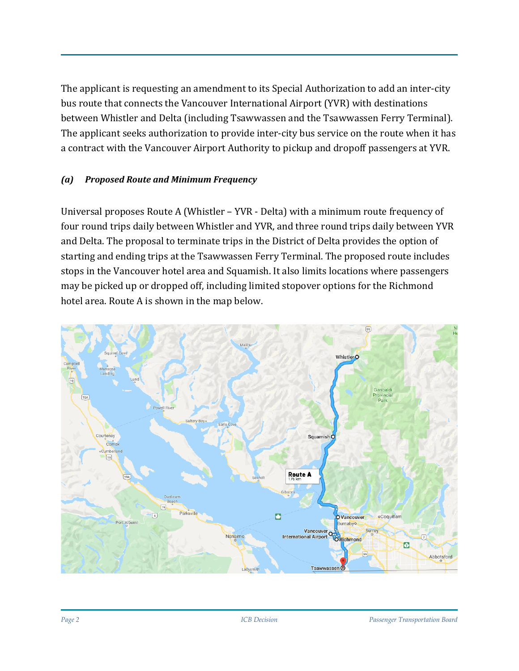The applicant is requesting an amendment to its Special Authorization to add an inter-city bus route that connects the Vancouver International Airport (YVR) with destinations between Whistler and Delta (including Tsawwassen and the Tsawwassen Ferry Terminal). The applicant seeks authorization to provide inter-city bus service on the route when it has a contract with the Vancouver Airport Authority to pickup and dropoff passengers at YVR.

#### *(a) Proposed Route and Minimum Frequency*

Universal proposes Route A (Whistler – YVR - Delta) with a minimum route frequency of four round trips daily between Whistler and YVR, and three round trips daily between YVR and Delta. The proposal to terminate trips in the District of Delta provides the option of starting and ending trips at the Tsawwassen Ferry Terminal. The proposed route includes stops in the Vancouver hotel area and Squamish. It also limits locations where passengers may be picked up or dropped off, including limited stopover options for the Richmond hotel area. Route A is shown in the map below.

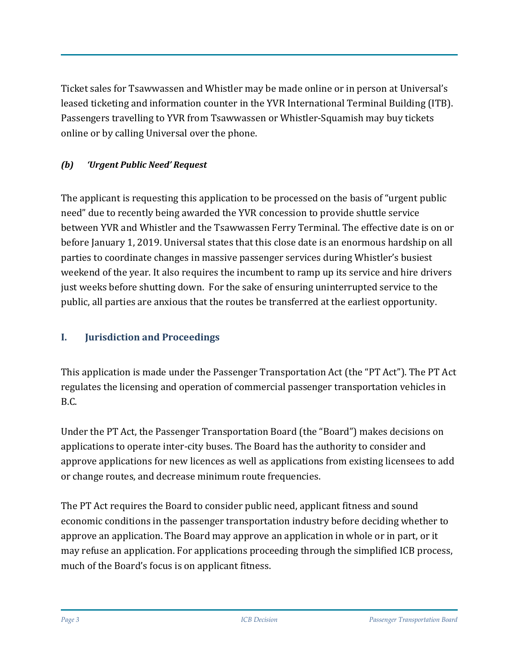Ticket sales for Tsawwassen and Whistler may be made online or in person at Universal's leased ticketing and information counter in the YVR International Terminal Building (ITB). Passengers travelling to YVR from Tsawwassen or Whistler-Squamish may buy tickets online or by calling Universal over the phone.

## *(b) 'Urgent Public Need' Request*

The applicant is requesting this application to be processed on the basis of "urgent public need" due to recently being awarded the YVR concession to provide shuttle service between YVR and Whistler and the Tsawwassen Ferry Terminal. The effective date is on or before January 1, 2019. Universal states that this close date is an enormous hardship on all parties to coordinate changes in massive passenger services during Whistler's busiest weekend of the year. It also requires the incumbent to ramp up its service and hire drivers just weeks before shutting down. For the sake of ensuring uninterrupted service to the public, all parties are anxious that the routes be transferred at the earliest opportunity.

## **I. Jurisdiction and Proceedings**

This application is made under the Passenger Transportation Act (the "PT Act"). The PT Act regulates the licensing and operation of commercial passenger transportation vehicles in B.C.

Under the PT Act, the Passenger Transportation Board (the "Board") makes decisions on applications to operate inter-city buses. The Board has the authority to consider and approve applications for new licences as well as applications from existing licensees to add or change routes, and decrease minimum route frequencies.

The PT Act requires the Board to consider public need, applicant fitness and sound economic conditions in the passenger transportation industry before deciding whether to approve an application. The Board may approve an application in whole or in part, or it may refuse an application. For applications proceeding through the simplified ICB process, much of the Board's focus is on applicant fitness.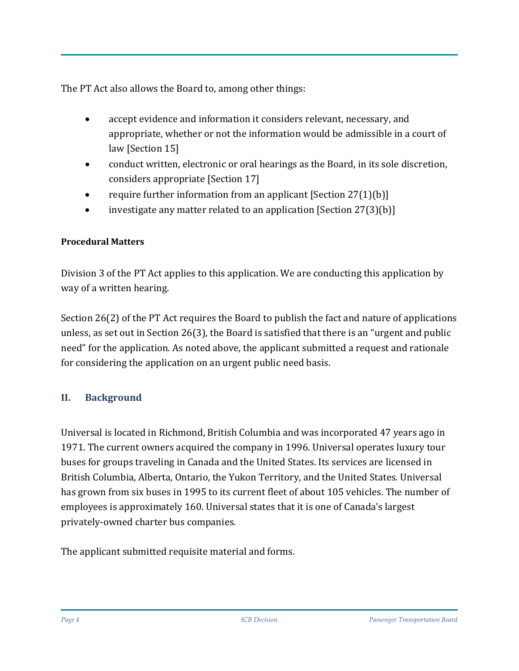The PT Act also allows the Board to, among other things:

- accept evidence and information it considers relevant, necessary, and appropriate, whether or not the information would be admissible in a court of law [Section 15]
- conduct written, electronic or oral hearings as the Board, in its sole discretion, considers appropriate [Section 17]
- require further information from an applicant  $[Section 27(1)(b)]$
- investigate any matter related to an application [Section 27(3)(b)]

#### **Procedural Matters**

Division 3 of the PT Act applies to this application. We are conducting this application by way of a written hearing.

Section 26(2) of the PT Act requires the Board to publish the fact and nature of applications unless, as set out in Section 26(3), the Board is satisfied that there is an "urgent and public need" for the application. As noted above, the applicant submitted a request and rationale for considering the application on an urgent public need basis.

## **II. Background**

Universal is located in Richmond, British Columbia and was incorporated 47 years ago in 1971. The current owners acquired the company in 1996. Universal operates luxury tour buses for groups traveling in Canada and the United States. Its services are licensed in British Columbia, Alberta, Ontario, the Yukon Territory, and the United States. Universal has grown from six buses in 1995 to its current fleet of about 105 vehicles. The number of employees is approximately 160. Universal states that it is one of Canada's largest privately-owned charter bus companies.

The applicant submitted requisite material and forms.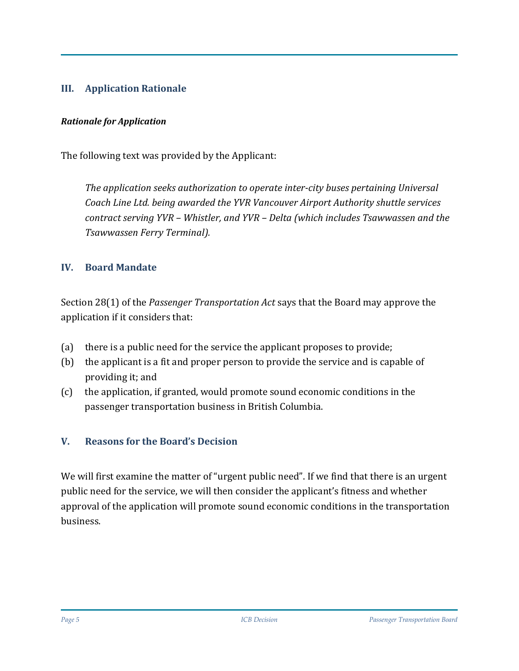#### **III. Application Rationale**

#### *Rationale for Application*

The following text was provided by the Applicant:

*The application seeks authorization to operate inter-city buses pertaining Universal Coach Line Ltd. being awarded the YVR Vancouver Airport Authority shuttle services contract serving YVR – Whistler, and YVR – Delta (which includes Tsawwassen and the Tsawwassen Ferry Terminal).*

#### **IV. Board Mandate**

Section 28(1) of the *Passenger Transportation Act* says that the Board may approve the application if it considers that:

- (a) there is a public need for the service the applicant proposes to provide;
- (b) the applicant is a fit and proper person to provide the service and is capable of providing it; and
- (c) the application, if granted, would promote sound economic conditions in the passenger transportation business in British Columbia.

#### **V. Reasons for the Board's Decision**

We will first examine the matter of "urgent public need". If we find that there is an urgent public need for the service, we will then consider the applicant's fitness and whether approval of the application will promote sound economic conditions in the transportation business.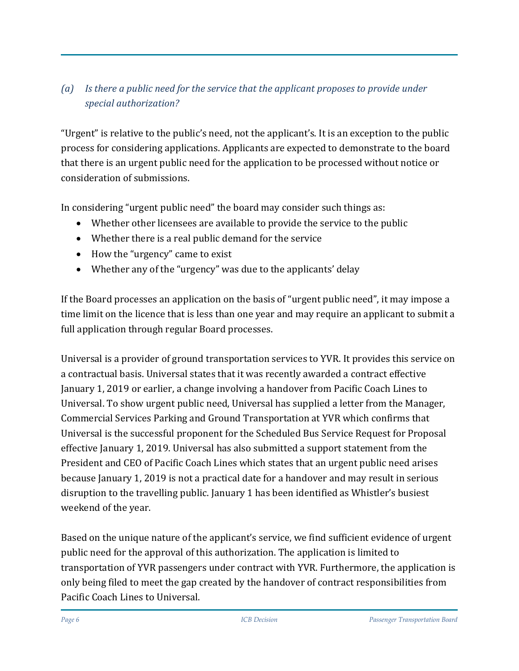## *(a) Is there a public need for the service that the applicant proposes to provide under special authorization?*

"Urgent" is relative to the public's need, not the applicant's. It is an exception to the public process for considering applications. Applicants are expected to demonstrate to the board that there is an urgent public need for the application to be processed without notice or consideration of submissions.

In considering "urgent public need" the board may consider such things as:

- Whether other licensees are available to provide the service to the public
- Whether there is a real public demand for the service
- How the "urgency" came to exist
- Whether any of the "urgency" was due to the applicants' delay

If the Board processes an application on the basis of "urgent public need", it may impose a time limit on the licence that is less than one year and may require an applicant to submit a full application through regular Board processes.

Universal is a provider of ground transportation services to YVR. It provides this service on a contractual basis. Universal states that it was recently awarded a contract effective January 1, 2019 or earlier, a change involving a handover from Pacific Coach Lines to Universal. To show urgent public need, Universal has supplied a letter from the Manager, Commercial Services Parking and Ground Transportation at YVR which confirms that Universal is the successful proponent for the Scheduled Bus Service Request for Proposal effective January 1, 2019. Universal has also submitted a support statement from the President and CEO of Pacific Coach Lines which states that an urgent public need arises because January 1, 2019 is not a practical date for a handover and may result in serious disruption to the travelling public. January 1 has been identified as Whistler's busiest weekend of the year.

Based on the unique nature of the applicant's service, we find sufficient evidence of urgent public need for the approval of this authorization. The application is limited to transportation of YVR passengers under contract with YVR. Furthermore, the application is only being filed to meet the gap created by the handover of contract responsibilities from Pacific Coach Lines to Universal.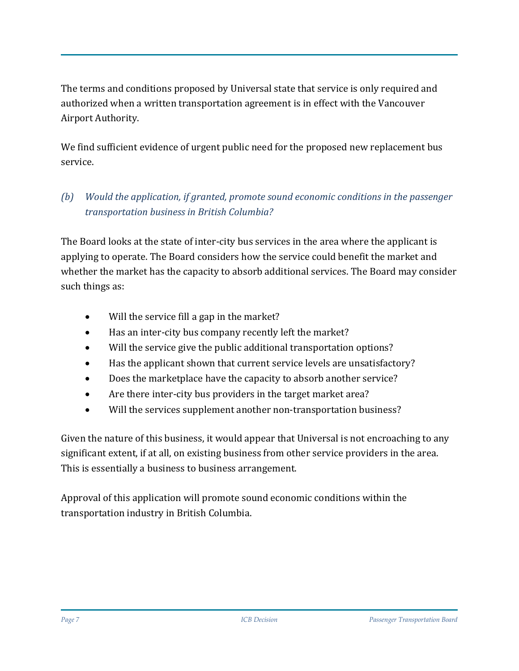The terms and conditions proposed by Universal state that service is only required and authorized when a written transportation agreement is in effect with the Vancouver Airport Authority.

We find sufficient evidence of urgent public need for the proposed new replacement bus service.

## *(b) Would the application, if granted, promote sound economic conditions in the passenger transportation business in British Columbia?*

The Board looks at the state of inter-city bus services in the area where the applicant is applying to operate. The Board considers how the service could benefit the market and whether the market has the capacity to absorb additional services. The Board may consider such things as:

- Will the service fill a gap in the market?
- Has an inter-city bus company recently left the market?
- Will the service give the public additional transportation options?
- Has the applicant shown that current service levels are unsatisfactory?
- Does the marketplace have the capacity to absorb another service?
- Are there inter-city bus providers in the target market area?
- Will the services supplement another non-transportation business?

Given the nature of this business, it would appear that Universal is not encroaching to any significant extent, if at all, on existing business from other service providers in the area. This is essentially a business to business arrangement.

Approval of this application will promote sound economic conditions within the transportation industry in British Columbia.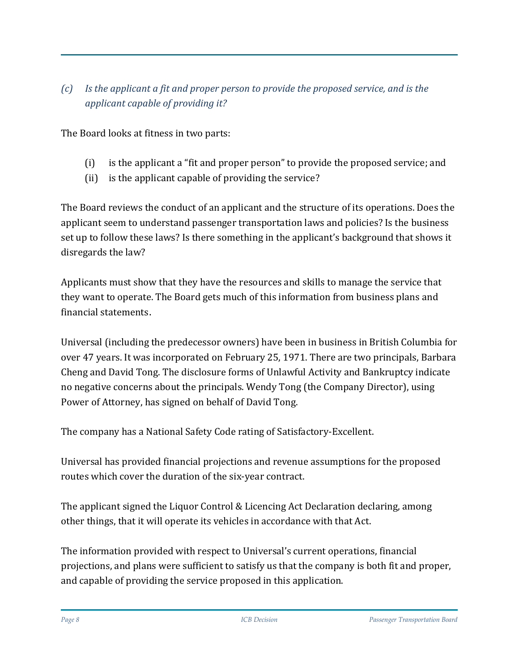## *(c) Is the applicant a fit and proper person to provide the proposed service, and is the applicant capable of providing it?*

The Board looks at fitness in two parts:

- (i) is the applicant a "fit and proper person" to provide the proposed service; and
- (ii) is the applicant capable of providing the service?

The Board reviews the conduct of an applicant and the structure of its operations. Does the applicant seem to understand passenger transportation laws and policies? Is the business set up to follow these laws? Is there something in the applicant's background that shows it disregards the law?

Applicants must show that they have the resources and skills to manage the service that they want to operate. The Board gets much of this information from business plans and financial statements.

Universal (including the predecessor owners) have been in business in British Columbia for over 47 years. It was incorporated on February 25, 1971. There are two principals, Barbara Cheng and David Tong. The disclosure forms of Unlawful Activity and Bankruptcy indicate no negative concerns about the principals. Wendy Tong (the Company Director), using Power of Attorney, has signed on behalf of David Tong.

The company has a National Safety Code rating of Satisfactory-Excellent.

Universal has provided financial projections and revenue assumptions for the proposed routes which cover the duration of the six-year contract.

The applicant signed the Liquor Control & Licencing Act Declaration declaring, among other things, that it will operate its vehicles in accordance with that Act.

The information provided with respect to Universal's current operations, financial projections, and plans were sufficient to satisfy us that the company is both fit and proper, and capable of providing the service proposed in this application.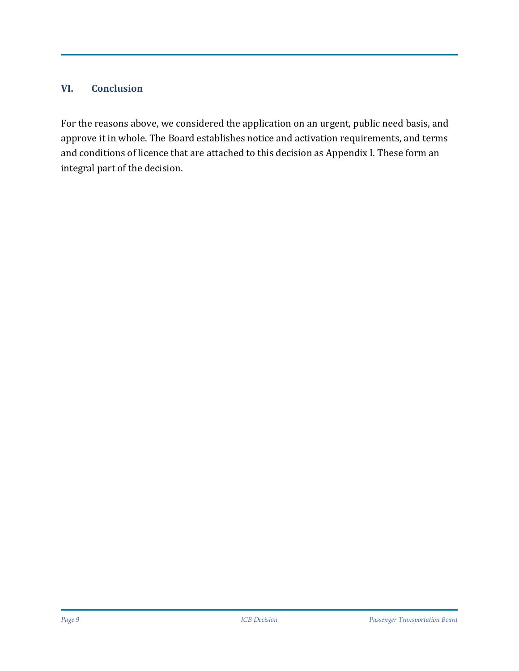#### **VI. Conclusion**

For the reasons above, we considered the application on an urgent, public need basis, and approve it in whole. The Board establishes notice and activation requirements, and terms and conditions of licence that are attached to this decision as Appendix I. These form an integral part of the decision.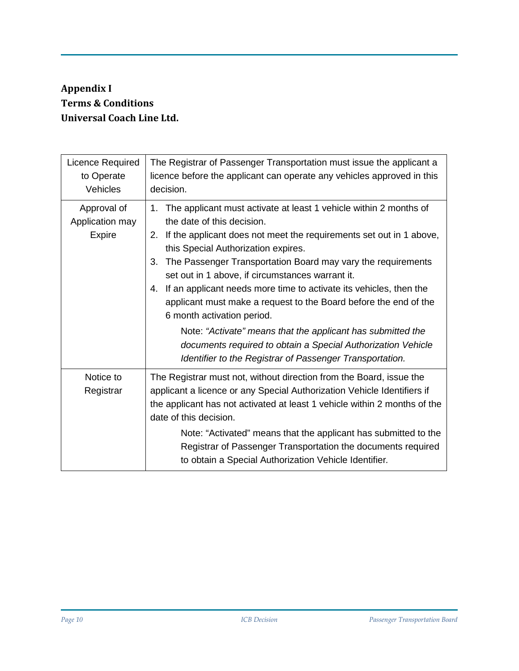## **Appendix I Terms & Conditions Universal Coach Line Ltd.**

| Licence Required<br>to Operate<br>Vehicles      | The Registrar of Passenger Transportation must issue the applicant a<br>licence before the applicant can operate any vehicles approved in this<br>decision.                                                                                                                                                                                                                                                                                                                                                                                                                                                                                                                                                                       |
|-------------------------------------------------|-----------------------------------------------------------------------------------------------------------------------------------------------------------------------------------------------------------------------------------------------------------------------------------------------------------------------------------------------------------------------------------------------------------------------------------------------------------------------------------------------------------------------------------------------------------------------------------------------------------------------------------------------------------------------------------------------------------------------------------|
| Approval of<br>Application may<br><b>Expire</b> | The applicant must activate at least 1 vehicle within 2 months of<br>$1_{-}$<br>the date of this decision.<br>If the applicant does not meet the requirements set out in 1 above,<br>2.<br>this Special Authorization expires.<br>The Passenger Transportation Board may vary the requirements<br>3.<br>set out in 1 above, if circumstances warrant it.<br>If an applicant needs more time to activate its vehicles, then the<br>4.<br>applicant must make a request to the Board before the end of the<br>6 month activation period.<br>Note: "Activate" means that the applicant has submitted the<br>documents required to obtain a Special Authorization Vehicle<br>Identifier to the Registrar of Passenger Transportation. |
| Notice to<br>Registrar                          | The Registrar must not, without direction from the Board, issue the<br>applicant a licence or any Special Authorization Vehicle Identifiers if<br>the applicant has not activated at least 1 vehicle within 2 months of the<br>date of this decision.<br>Note: "Activated" means that the applicant has submitted to the<br>Registrar of Passenger Transportation the documents required<br>to obtain a Special Authorization Vehicle Identifier.                                                                                                                                                                                                                                                                                 |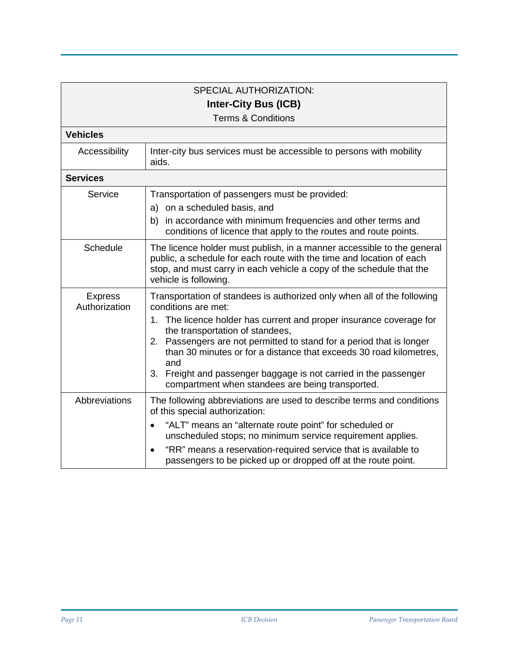|                                 | <b>SPECIAL AUTHORIZATION:</b>                                                                                                                                                                                                                                                                                                                                                                                                                                                               |  |
|---------------------------------|---------------------------------------------------------------------------------------------------------------------------------------------------------------------------------------------------------------------------------------------------------------------------------------------------------------------------------------------------------------------------------------------------------------------------------------------------------------------------------------------|--|
|                                 |                                                                                                                                                                                                                                                                                                                                                                                                                                                                                             |  |
| <b>Inter-City Bus (ICB)</b>     |                                                                                                                                                                                                                                                                                                                                                                                                                                                                                             |  |
| <b>Terms &amp; Conditions</b>   |                                                                                                                                                                                                                                                                                                                                                                                                                                                                                             |  |
| <b>Vehicles</b>                 |                                                                                                                                                                                                                                                                                                                                                                                                                                                                                             |  |
| Accessibility                   | Inter-city bus services must be accessible to persons with mobility<br>aids.                                                                                                                                                                                                                                                                                                                                                                                                                |  |
| <b>Services</b>                 |                                                                                                                                                                                                                                                                                                                                                                                                                                                                                             |  |
| Service                         | Transportation of passengers must be provided:<br>a) on a scheduled basis, and<br>in accordance with minimum frequencies and other terms and<br>b)<br>conditions of licence that apply to the routes and route points.                                                                                                                                                                                                                                                                      |  |
| Schedule                        | The licence holder must publish, in a manner accessible to the general<br>public, a schedule for each route with the time and location of each<br>stop, and must carry in each vehicle a copy of the schedule that the<br>vehicle is following.                                                                                                                                                                                                                                             |  |
| <b>Express</b><br>Authorization | Transportation of standees is authorized only when all of the following<br>conditions are met:<br>The licence holder has current and proper insurance coverage for<br>1.<br>the transportation of standees,<br>2. Passengers are not permitted to stand for a period that is longer<br>than 30 minutes or for a distance that exceeds 30 road kilometres,<br>and<br>Freight and passenger baggage is not carried in the passenger<br>3.<br>compartment when standees are being transported. |  |
| Abbreviations                   | The following abbreviations are used to describe terms and conditions<br>of this special authorization:<br>"ALT" means an "alternate route point" for scheduled or<br>$\bullet$<br>unscheduled stops; no minimum service requirement applies.<br>"RR" means a reservation-required service that is available to<br>passengers to be picked up or dropped off at the route point.                                                                                                            |  |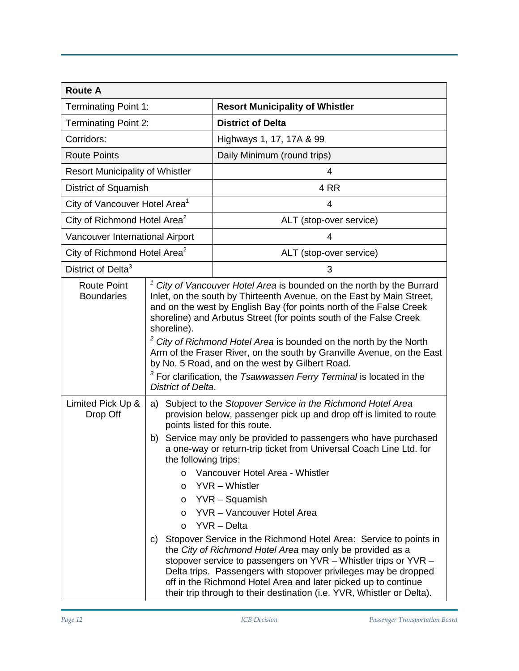| <b>Route A</b>                            |                                                                                                                                                                                                                                                                                                                                                                                                                                                                                                                                                                                                                                                                                                                                                                                                                                                                                                                                                    |                                                                                                                                                                                                                                                                                                                                                                                                                                                                                                                                                                                       |  |
|-------------------------------------------|----------------------------------------------------------------------------------------------------------------------------------------------------------------------------------------------------------------------------------------------------------------------------------------------------------------------------------------------------------------------------------------------------------------------------------------------------------------------------------------------------------------------------------------------------------------------------------------------------------------------------------------------------------------------------------------------------------------------------------------------------------------------------------------------------------------------------------------------------------------------------------------------------------------------------------------------------|---------------------------------------------------------------------------------------------------------------------------------------------------------------------------------------------------------------------------------------------------------------------------------------------------------------------------------------------------------------------------------------------------------------------------------------------------------------------------------------------------------------------------------------------------------------------------------------|--|
| <b>Terminating Point 1:</b>               |                                                                                                                                                                                                                                                                                                                                                                                                                                                                                                                                                                                                                                                                                                                                                                                                                                                                                                                                                    | <b>Resort Municipality of Whistler</b>                                                                                                                                                                                                                                                                                                                                                                                                                                                                                                                                                |  |
| <b>Terminating Point 2:</b>               |                                                                                                                                                                                                                                                                                                                                                                                                                                                                                                                                                                                                                                                                                                                                                                                                                                                                                                                                                    | <b>District of Delta</b>                                                                                                                                                                                                                                                                                                                                                                                                                                                                                                                                                              |  |
| Corridors:                                |                                                                                                                                                                                                                                                                                                                                                                                                                                                                                                                                                                                                                                                                                                                                                                                                                                                                                                                                                    | Highways 1, 17, 17A & 99                                                                                                                                                                                                                                                                                                                                                                                                                                                                                                                                                              |  |
| <b>Route Points</b>                       |                                                                                                                                                                                                                                                                                                                                                                                                                                                                                                                                                                                                                                                                                                                                                                                                                                                                                                                                                    | Daily Minimum (round trips)                                                                                                                                                                                                                                                                                                                                                                                                                                                                                                                                                           |  |
| <b>Resort Municipality of Whistler</b>    |                                                                                                                                                                                                                                                                                                                                                                                                                                                                                                                                                                                                                                                                                                                                                                                                                                                                                                                                                    | 4                                                                                                                                                                                                                                                                                                                                                                                                                                                                                                                                                                                     |  |
| District of Squamish                      |                                                                                                                                                                                                                                                                                                                                                                                                                                                                                                                                                                                                                                                                                                                                                                                                                                                                                                                                                    | 4 RR                                                                                                                                                                                                                                                                                                                                                                                                                                                                                                                                                                                  |  |
| City of Vancouver Hotel Area <sup>1</sup> |                                                                                                                                                                                                                                                                                                                                                                                                                                                                                                                                                                                                                                                                                                                                                                                                                                                                                                                                                    | 4                                                                                                                                                                                                                                                                                                                                                                                                                                                                                                                                                                                     |  |
| City of Richmond Hotel Area <sup>2</sup>  |                                                                                                                                                                                                                                                                                                                                                                                                                                                                                                                                                                                                                                                                                                                                                                                                                                                                                                                                                    | ALT (stop-over service)                                                                                                                                                                                                                                                                                                                                                                                                                                                                                                                                                               |  |
| Vancouver International Airport           |                                                                                                                                                                                                                                                                                                                                                                                                                                                                                                                                                                                                                                                                                                                                                                                                                                                                                                                                                    | 4                                                                                                                                                                                                                                                                                                                                                                                                                                                                                                                                                                                     |  |
| City of Richmond Hotel Area <sup>2</sup>  |                                                                                                                                                                                                                                                                                                                                                                                                                                                                                                                                                                                                                                                                                                                                                                                                                                                                                                                                                    | ALT (stop-over service)                                                                                                                                                                                                                                                                                                                                                                                                                                                                                                                                                               |  |
| District of Delta <sup>3</sup>            |                                                                                                                                                                                                                                                                                                                                                                                                                                                                                                                                                                                                                                                                                                                                                                                                                                                                                                                                                    | 3                                                                                                                                                                                                                                                                                                                                                                                                                                                                                                                                                                                     |  |
| <b>Route Point</b><br><b>Boundaries</b>   | shoreline).<br>District of Delta.                                                                                                                                                                                                                                                                                                                                                                                                                                                                                                                                                                                                                                                                                                                                                                                                                                                                                                                  | $1$ City of Vancouver Hotel Area is bounded on the north by the Burrard<br>Inlet, on the south by Thirteenth Avenue, on the East by Main Street,<br>and on the west by English Bay (for points north of the False Creek<br>shoreline) and Arbutus Street (for points south of the False Creek<br><sup>2</sup> City of Richmond Hotel Area is bounded on the north by the North<br>Arm of the Fraser River, on the south by Granville Avenue, on the East<br>by No. 5 Road, and on the west by Gilbert Road.<br>$3$ For clarification, the Tsawwassen Ferry Terminal is located in the |  |
| Limited Pick Up &<br>Drop Off             | Subject to the Stopover Service in the Richmond Hotel Area<br>a)<br>provision below, passenger pick up and drop off is limited to route<br>points listed for this route.<br>Service may only be provided to passengers who have purchased<br>b)<br>a one-way or return-trip ticket from Universal Coach Line Ltd. for<br>the following trips:<br>Vancouver Hotel Area - Whistler<br>$\circ$<br>YVR - Whistler<br>$\circ$<br>YVR – Squamish<br>$\circ$<br>YVR - Vancouver Hotel Area<br>$\circ$<br>YVR - Delta<br>$\circ$<br>Stopover Service in the Richmond Hotel Area: Service to points in<br>C)<br>the City of Richmond Hotel Area may only be provided as a<br>stopover service to passengers on YVR - Whistler trips or YVR -<br>Delta trips. Passengers with stopover privileges may be dropped<br>off in the Richmond Hotel Area and later picked up to continue<br>their trip through to their destination (i.e. YVR, Whistler or Delta). |                                                                                                                                                                                                                                                                                                                                                                                                                                                                                                                                                                                       |  |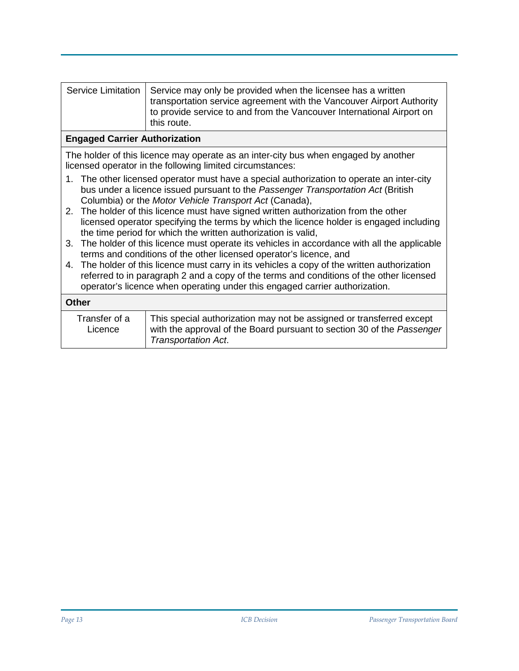| Service Limitation   Service may only be provided when the licensee has a written |
|-----------------------------------------------------------------------------------|
| transportation service agreement with the Vancouver Airport Authority             |
| to provide service to and from the Vancouver International Airport on             |
| this route.                                                                       |

#### **Engaged Carrier Authorization**

The holder of this licence may operate as an inter-city bus when engaged by another licensed operator in the following limited circumstances:

- 1. The other licensed operator must have a special authorization to operate an inter-city bus under a licence issued pursuant to the *Passenger Transportation Act* (British Columbia) or the *Motor Vehicle Transport Act* (Canada),
- 2. The holder of this licence must have signed written authorization from the other licensed operator specifying the terms by which the licence holder is engaged including the time period for which the written authorization is valid,
- 3. The holder of this licence must operate its vehicles in accordance with all the applicable terms and conditions of the other licensed operator's licence, and
- 4. The holder of this licence must carry in its vehicles a copy of the written authorization referred to in paragraph 2 and a copy of the terms and conditions of the other licensed operator's licence when operating under this engaged carrier authorization.

| Other                    |                                                                                                                                                                              |
|--------------------------|------------------------------------------------------------------------------------------------------------------------------------------------------------------------------|
| Transfer of a<br>Licence | This special authorization may not be assigned or transferred except<br>with the approval of the Board pursuant to section 30 of the Passenger<br><b>Transportation Act.</b> |